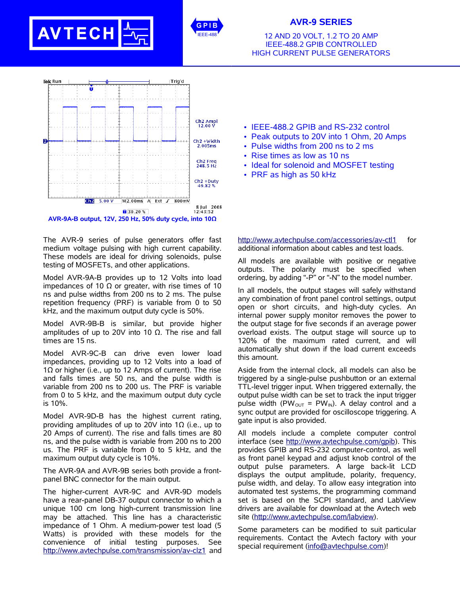



## **AVR-9 SERIES**

12 AND 20 VOLT, 1.2 TO 20 AMP IEEE-488.2 GPIB CONTROLLED HIGH CURRENT PULSE GENERATORS



The AVR-9 series of pulse generators offer fast medium voltage pulsing with high current capability. These models are ideal for driving solenoids, pulse testing of MOSFETs, and other applications.

Model AVR-9A-B provides up to 12 Volts into load impedances of 10  $\Omega$  or greater, with rise times of 10 ns and pulse widths from 200 ns to 2 ms. The pulse repetition frequency (PRF) is variable from 0 to 50 kHz, and the maximum output duty cycle is 50%.

Model AVR-9B-B is similar, but provide higher amplitudes of up to 20V into 10  $Ω$ . The rise and fall times are 15 ns.

Model AVR-9C-B can drive even lower load impedances, providing up to 12 Volts into a load of 1Ω or higher (i.e., up to 12 Amps of current). The rise and falls times are 50 ns, and the pulse width is variable from 200 ns to 200 us. The PRF is variable from 0 to 5 kHz, and the maximum output duty cycle is 10%.

Model AVR-9D-B has the highest current rating, providing amplitudes of up to 20V into 1 $\Omega$  (i.e., up to 20 Amps of current). The rise and falls times are 80 ns, and the pulse width is variable from 200 ns to 200 us. The PRF is variable from 0 to 5 kHz, and the maximum output duty cycle is 10%.

The AVR-9A and AVR-9B series both provide a frontpanel BNC connector for the main output.

The higher-current AVR-9C and AVR-9D models have a rear-panel DB-37 output connector to which a unique 100 cm long high-current transmission line may be attached. This line has a characteristic impedance of 1 Ohm. A medium-power test load (5 Watts) is provided with these models for the convenience of initial testing purposes. See http://www.avtechpulse.com/transmission/av-clz1 and

- IEEE-488.2 GPIB and RS-232 control
- Peak outputs to 20V into 1 Ohm, 20 Amps
- Pulse widths from 200 ns to 2 ms
- Rise times as low as 10 ns
- Ideal for solenoid and MOSFET testing
- PRF as high as 50 kHz

http://www.avtechpulse.com/accessories/av-ctl1 for additional information about cables and test loads.

All models are available with positive or negative outputs. The polarity must be specified when ordering, by adding "-P" or "-N" to the model number.

In all models, the output stages will safely withstand any combination of front panel control settings, output open or short circuits, and high-duty cycles. An internal power supply monitor removes the power to the output stage for five seconds if an average power overload exists. The output stage will source up to 120% of the maximum rated current, and will automatically shut down if the load current exceeds this amount.

Aside from the internal clock, all models can also be triggered by a single-pulse pushbutton or an external TTL-level trigger input. When triggered externally, the output pulse width can be set to track the input trigger pulse width (PW<sub>OUT</sub> = PW<sub>IN</sub>). A delay control and a sync output are provided for oscilloscope triggering. A gate input is also provided.

All models include a complete computer control interface (see http://www.avtechpulse.com/gpib). This provides GPIB and RS-232 computer-control, as well as front panel keypad and adjust knob control of the output pulse parameters. A large back-lit LCD displays the output amplitude, polarity, frequency, pulse width, and delay. To allow easy integration into automated test systems, the programming command set is based on the SCPI standard, and LabView drivers are available for download at the Avtech web site (http://www.avtechpulse.com/labview).

Some parameters can be modified to suit particular requirements. Contact the Avtech factory with your special requirement (info@avtechpulse.com)!